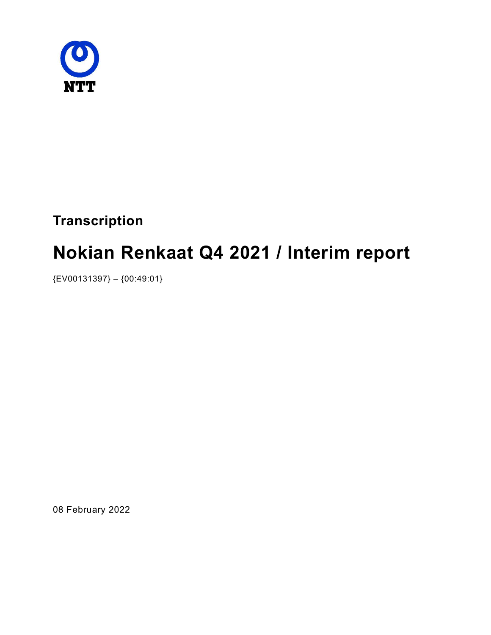

# **Transcription**

# Nokian Renkaat Q4 2021 / Interim report

{EV00131397} – {00:49:01}

08 February 2022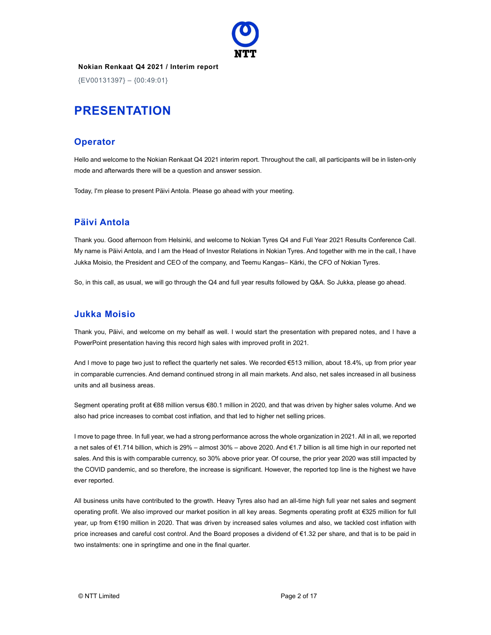

{EV00131397} – {00:49:01}

# PRESENTATION

#### **Operator**

Hello and welcome to the Nokian Renkaat Q4 2021 interim report. Throughout the call, all participants will be in listen-only mode and afterwards there will be a question and answer session.

Today, I'm please to present Päivi Antola. Please go ahead with your meeting.

# Päivi Antola

Thank you. Good afternoon from Helsinki, and welcome to Nokian Tyres Q4 and Full Year 2021 Results Conference Call. My name is Päivi Antola, and I am the Head of Investor Relations in Nokian Tyres. And together with me in the call, I have Jukka Moisio, the President and CEO of the company, and Teemu Kangas– Kärki, the CFO of Nokian Tyres.

So, in this call, as usual, we will go through the Q4 and full year results followed by Q&A. So Jukka, please go ahead.

# Jukka Moisio

Thank you, Päivi, and welcome on my behalf as well. I would start the presentation with prepared notes, and I have a PowerPoint presentation having this record high sales with improved profit in 2021.

And I move to page two just to reflect the quarterly net sales. We recorded €513 million, about 18.4%, up from prior year in comparable currencies. And demand continued strong in all main markets. And also, net sales increased in all business units and all business areas.

Segment operating profit at €88 million versus €80.1 million in 2020, and that was driven by higher sales volume. And we also had price increases to combat cost inflation, and that led to higher net selling prices.

I move to page three. In full year, we had a strong performance across the whole organization in 2021. All in all, we reported a net sales of €1.714 billion, which is 29% – almost 30% – above 2020. And €1.7 billion is all time high in our reported net sales. And this is with comparable currency, so 30% above prior year. Of course, the prior year 2020 was still impacted by the COVID pandemic, and so therefore, the increase is significant. However, the reported top line is the highest we have ever reported.

All business units have contributed to the growth. Heavy Tyres also had an all-time high full year net sales and segment operating profit. We also improved our market position in all key areas. Segments operating profit at €325 million for full year, up from €190 million in 2020. That was driven by increased sales volumes and also, we tackled cost inflation with price increases and careful cost control. And the Board proposes a dividend of €1.32 per share, and that is to be paid in two instalments: one in springtime and one in the final quarter.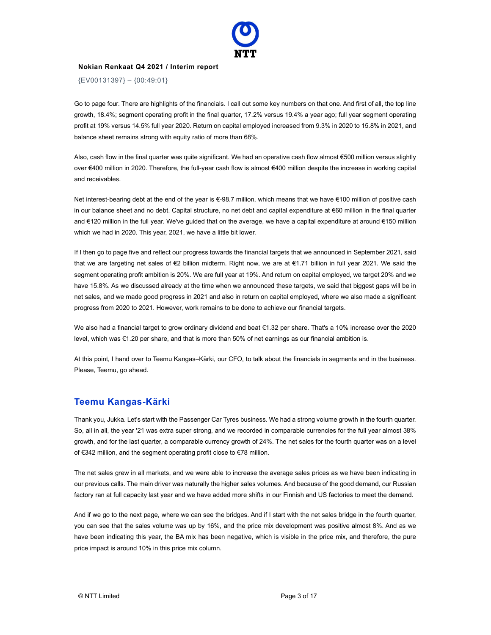

{EV00131397} – {00:49:01}

Go to page four. There are highlights of the financials. I call out some key numbers on that one. And first of all, the top line growth, 18.4%; segment operating profit in the final quarter, 17.2% versus 19.4% a year ago; full year segment operating profit at 19% versus 14.5% full year 2020. Return on capital employed increased from 9.3% in 2020 to 15.8% in 2021, and balance sheet remains strong with equity ratio of more than 68%.

Also, cash flow in the final quarter was quite significant. We had an operative cash flow almost €500 million versus slightly over €400 million in 2020. Therefore, the full-year cash flow is almost €400 million despite the increase in working capital and receivables.

Net interest-bearing debt at the end of the year is €-98.7 million, which means that we have €100 million of positive cash in our balance sheet and no debt. Capital structure, no net debt and capital expenditure at €60 million in the final quarter and €120 million in the full year. We've guided that on the average, we have a capital expenditure at around €150 million which we had in 2020. This year, 2021, we have a little bit lower.

If I then go to page five and reflect our progress towards the financial targets that we announced in September 2021, said that we are targeting net sales of €2 billion midterm. Right now, we are at €1.71 billion in full year 2021. We said the segment operating profit ambition is 20%. We are full year at 19%. And return on capital employed, we target 20% and we have 15.8%. As we discussed already at the time when we announced these targets, we said that biggest gaps will be in net sales, and we made good progress in 2021 and also in return on capital employed, where we also made a significant progress from 2020 to 2021. However, work remains to be done to achieve our financial targets.

We also had a financial target to grow ordinary dividend and beat €1.32 per share. That's a 10% increase over the 2020 level, which was €1.20 per share, and that is more than 50% of net earnings as our financial ambition is.

At this point, I hand over to Teemu Kangas–Kärki, our CFO, to talk about the financials in segments and in the business. Please, Teemu, go ahead.

#### Teemu Kangas-Kärki

Thank you, Jukka. Let's start with the Passenger Car Tyres business. We had a strong volume growth in the fourth quarter. So, all in all, the year '21 was extra super strong, and we recorded in comparable currencies for the full year almost 38% growth, and for the last quarter, a comparable currency growth of 24%. The net sales for the fourth quarter was on a level of €342 million, and the segment operating profit close to €78 million.

The net sales grew in all markets, and we were able to increase the average sales prices as we have been indicating in our previous calls. The main driver was naturally the higher sales volumes. And because of the good demand, our Russian factory ran at full capacity last year and we have added more shifts in our Finnish and US factories to meet the demand.

And if we go to the next page, where we can see the bridges. And if I start with the net sales bridge in the fourth quarter, you can see that the sales volume was up by 16%, and the price mix development was positive almost 8%. And as we have been indicating this year, the BA mix has been negative, which is visible in the price mix, and therefore, the pure price impact is around 10% in this price mix column.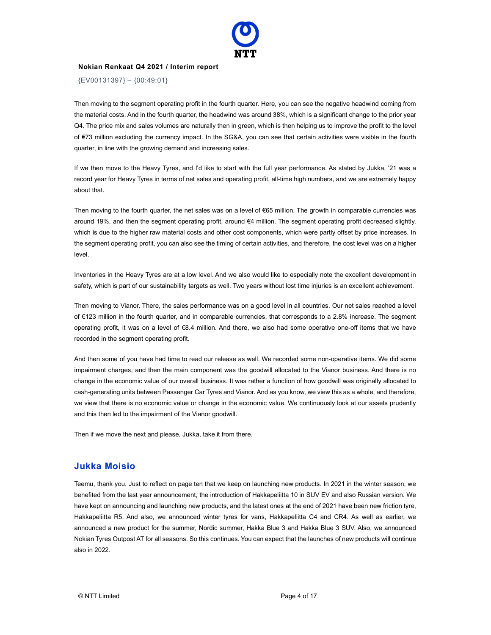

{EV00131397} – {00:49:01}

Then moving to the segment operating profit in the fourth quarter. Here, you can see the negative headwind coming from the material costs. And in the fourth quarter, the headwind was around 38%, which is a significant change to the prior year Q4. The price mix and sales volumes are naturally then in green, which is then helping us to improve the profit to the level of €73 million excluding the currency impact. In the SG&A, you can see that certain activities were visible in the fourth quarter, in line with the growing demand and increasing sales.

If we then move to the Heavy Tyres, and I'd like to start with the full year performance. As stated by Jukka, '21 was a record year for Heavy Tyres in terms of net sales and operating profit, all-time high numbers, and we are extremely happy about that.

Then moving to the fourth quarter, the net sales was on a level of €65 million. The growth in comparable currencies was around 19%, and then the segment operating profit, around €4 million. The segment operating profit decreased slightly, which is due to the higher raw material costs and other cost components, which were partly offset by price increases. In the segment operating profit, you can also see the timing of certain activities, and therefore, the cost level was on a higher level.

Inventories in the Heavy Tyres are at a low level. And we also would like to especially note the excellent development in safety, which is part of our sustainability targets as well. Two years without lost time injuries is an excellent achievement.

Then moving to Vianor. There, the sales performance was on a good level in all countries. Our net sales reached a level of €123 million in the fourth quarter, and in comparable currencies, that corresponds to a 2.8% increase. The segment operating profit, it was on a level of €8.4 million. And there, we also had some operative one-off items that we have recorded in the segment operating profit.

And then some of you have had time to read our release as well. We recorded some non-operative items. We did some impairment charges, and then the main component was the goodwill allocated to the Vianor business. And there is no change in the economic value of our overall business. It was rather a function of how goodwill was originally allocated to cash-generating units between Passenger Car Tyres and Vianor. And as you know, we view this as a whole, and therefore, we view that there is no economic value or change in the economic value. We continuously look at our assets prudently and this then led to the impairment of the Vianor goodwill.

Then if we move the next and please, Jukka, take it from there.

#### Jukka Moisio

Teemu, thank you. Just to reflect on page ten that we keep on launching new products. In 2021 in the winter season, we benefited from the last year announcement, the introduction of Hakkapeliitta 10 in SUV EV and also Russian version. We have kept on announcing and launching new products, and the latest ones at the end of 2021 have been new friction tyre, Hakkapeliitta R5. And also, we announced winter tyres for vans, Hakkapeliitta C4 and CR4. As well as earlier, we announced a new product for the summer, Nordic summer, Hakka Blue 3 and Hakka Blue 3 SUV. Also, we announced Nokian Tyres Outpost AT for all seasons. So this continues. You can expect that the launches of new products will continue also in 2022.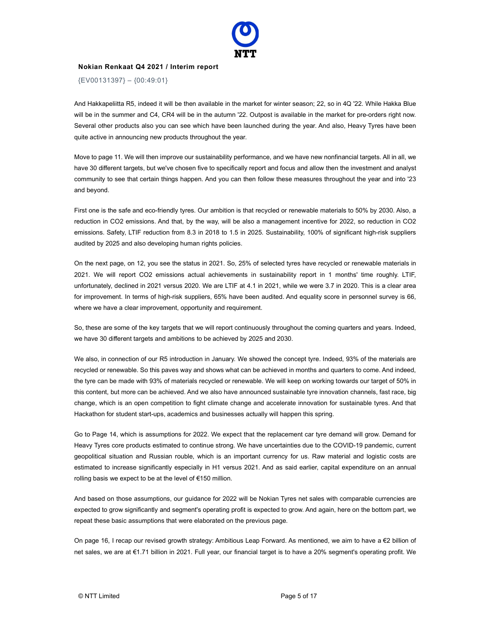

{EV00131397} – {00:49:01}

And Hakkapeliitta R5, indeed it will be then available in the market for winter season; 22, so in 4Q '22. While Hakka Blue will be in the summer and C4, CR4 will be in the autumn '22. Outpost is available in the market for pre-orders right now. Several other products also you can see which have been launched during the year. And also, Heavy Tyres have been quite active in announcing new products throughout the year.

Move to page 11. We will then improve our sustainability performance, and we have new nonfinancial targets. All in all, we have 30 different targets, but we've chosen five to specifically report and focus and allow then the investment and analyst community to see that certain things happen. And you can then follow these measures throughout the year and into '23 and beyond.

First one is the safe and eco-friendly tyres. Our ambition is that recycled or renewable materials to 50% by 2030. Also, a reduction in CO2 emissions. And that, by the way, will be also a management incentive for 2022, so reduction in CO2 emissions. Safety, LTIF reduction from 8.3 in 2018 to 1.5 in 2025. Sustainability, 100% of significant high-risk suppliers audited by 2025 and also developing human rights policies.

On the next page, on 12, you see the status in 2021. So, 25% of selected tyres have recycled or renewable materials in 2021. We will report CO2 emissions actual achievements in sustainability report in 1 months' time roughly. LTIF, unfortunately, declined in 2021 versus 2020. We are LTIF at 4.1 in 2021, while we were 3.7 in 2020. This is a clear area for improvement. In terms of high-risk suppliers, 65% have been audited. And equality score in personnel survey is 66, where we have a clear improvement, opportunity and requirement.

So, these are some of the key targets that we will report continuously throughout the coming quarters and years. Indeed, we have 30 different targets and ambitions to be achieved by 2025 and 2030.

We also, in connection of our R5 introduction in January. We showed the concept tyre. Indeed, 93% of the materials are recycled or renewable. So this paves way and shows what can be achieved in months and quarters to come. And indeed, the tyre can be made with 93% of materials recycled or renewable. We will keep on working towards our target of 50% in this content, but more can be achieved. And we also have announced sustainable tyre innovation channels, fast race, big change, which is an open competition to fight climate change and accelerate innovation for sustainable tyres. And that Hackathon for student start-ups, academics and businesses actually will happen this spring.

Go to Page 14, which is assumptions for 2022. We expect that the replacement car tyre demand will grow. Demand for Heavy Tyres core products estimated to continue strong. We have uncertainties due to the COVID-19 pandemic, current geopolitical situation and Russian rouble, which is an important currency for us. Raw material and logistic costs are estimated to increase significantly especially in H1 versus 2021. And as said earlier, capital expenditure on an annual rolling basis we expect to be at the level of €150 million.

And based on those assumptions, our guidance for 2022 will be Nokian Tyres net sales with comparable currencies are expected to grow significantly and segment's operating profit is expected to grow. And again, here on the bottom part, we repeat these basic assumptions that were elaborated on the previous page.

On page 16, I recap our revised growth strategy: Ambitious Leap Forward. As mentioned, we aim to have a €2 billion of net sales, we are at €1.71 billion in 2021. Full year, our financial target is to have a 20% segment's operating profit. We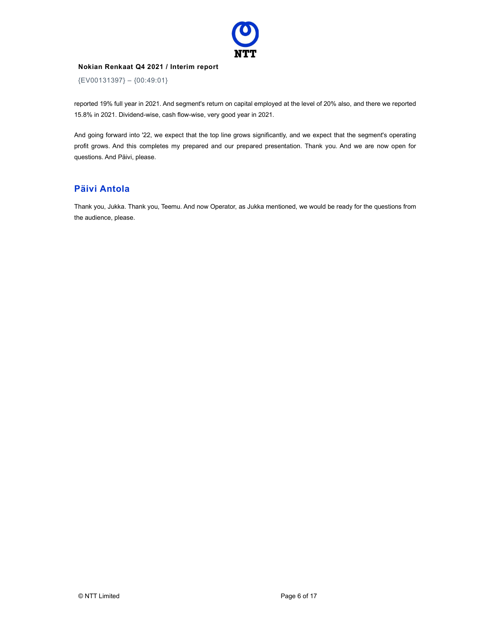

{EV00131397} – {00:49:01}

reported 19% full year in 2021. And segment's return on capital employed at the level of 20% also, and there we reported 15.8% in 2021. Dividend-wise, cash flow-wise, very good year in 2021.

And going forward into '22, we expect that the top line grows significantly, and we expect that the segment's operating profit grows. And this completes my prepared and our prepared presentation. Thank you. And we are now open for questions. And Päivi, please.

#### Päivi Antola

Thank you, Jukka. Thank you, Teemu. And now Operator, as Jukka mentioned, we would be ready for the questions from the audience, please.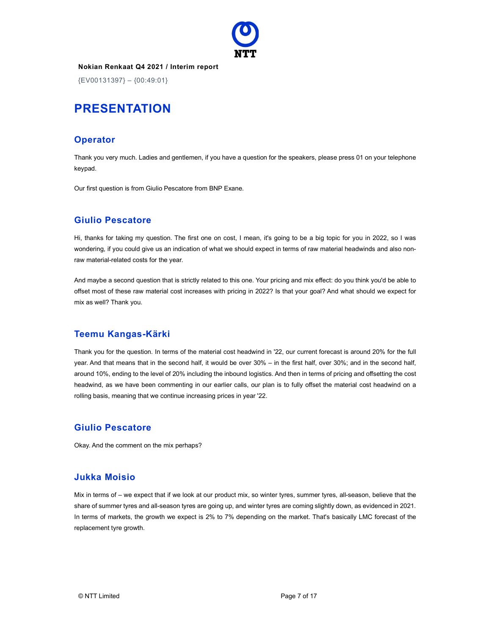

{EV00131397} – {00:49:01}

# PRESENTATION

# **Operator**

Thank you very much. Ladies and gentlemen, if you have a question for the speakers, please press 01 on your telephone keypad.

Our first question is from Giulio Pescatore from BNP Exane.

# Giulio Pescatore

Hi, thanks for taking my question. The first one on cost, I mean, it's going to be a big topic for you in 2022, so I was wondering, if you could give us an indication of what we should expect in terms of raw material headwinds and also nonraw material-related costs for the year.

And maybe a second question that is strictly related to this one. Your pricing and mix effect: do you think you'd be able to offset most of these raw material cost increases with pricing in 2022? Is that your goal? And what should we expect for mix as well? Thank you.

#### Teemu Kangas-Kärki

Thank you for the question. In terms of the material cost headwind in '22, our current forecast is around 20% for the full year. And that means that in the second half, it would be over 30% – in the first half, over 30%; and in the second half, around 10%, ending to the level of 20% including the inbound logistics. And then in terms of pricing and offsetting the cost headwind, as we have been commenting in our earlier calls, our plan is to fully offset the material cost headwind on a rolling basis, meaning that we continue increasing prices in year '22.

#### Giulio Pescatore

Okay. And the comment on the mix perhaps?

# Jukka Moisio

Mix in terms of – we expect that if we look at our product mix, so winter tyres, summer tyres, all-season, believe that the share of summer tyres and all-season tyres are going up, and winter tyres are coming slightly down, as evidenced in 2021. In terms of markets, the growth we expect is 2% to 7% depending on the market. That's basically LMC forecast of the replacement tyre growth.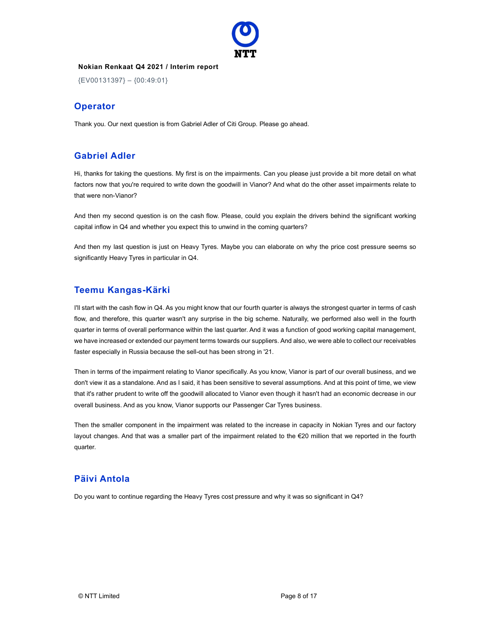

{EV00131397} – {00:49:01}

#### **Operator**

Thank you. Our next question is from Gabriel Adler of Citi Group. Please go ahead.

# Gabriel Adler

Hi, thanks for taking the questions. My first is on the impairments. Can you please just provide a bit more detail on what factors now that you're required to write down the goodwill in Vianor? And what do the other asset impairments relate to that were non-Vianor?

And then my second question is on the cash flow. Please, could you explain the drivers behind the significant working capital inflow in Q4 and whether you expect this to unwind in the coming quarters?

And then my last question is just on Heavy Tyres. Maybe you can elaborate on why the price cost pressure seems so significantly Heavy Tyres in particular in Q4.

# Teemu Kangas-Kärki

I'll start with the cash flow in Q4. As you might know that our fourth quarter is always the strongest quarter in terms of cash flow, and therefore, this quarter wasn't any surprise in the big scheme. Naturally, we performed also well in the fourth quarter in terms of overall performance within the last quarter. And it was a function of good working capital management, we have increased or extended our payment terms towards our suppliers. And also, we were able to collect our receivables faster especially in Russia because the sell-out has been strong in '21.

Then in terms of the impairment relating to Vianor specifically. As you know, Vianor is part of our overall business, and we don't view it as a standalone. And as I said, it has been sensitive to several assumptions. And at this point of time, we view that it's rather prudent to write off the goodwill allocated to Vianor even though it hasn't had an economic decrease in our overall business. And as you know, Vianor supports our Passenger Car Tyres business.

Then the smaller component in the impairment was related to the increase in capacity in Nokian Tyres and our factory layout changes. And that was a smaller part of the impairment related to the €20 million that we reported in the fourth quarter.

#### Päivi Antola

Do you want to continue regarding the Heavy Tyres cost pressure and why it was so significant in Q4?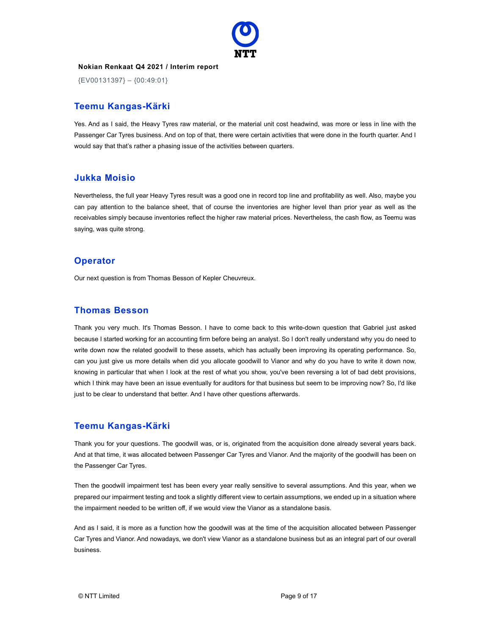

{EV00131397} – {00:49:01}

#### Teemu Kangas-Kärki

Yes. And as I said, the Heavy Tyres raw material, or the material unit cost headwind, was more or less in line with the Passenger Car Tyres business. And on top of that, there were certain activities that were done in the fourth quarter. And I would say that that's rather a phasing issue of the activities between quarters.

#### Jukka Moisio

Nevertheless, the full year Heavy Tyres result was a good one in record top line and profitability as well. Also, maybe you can pay attention to the balance sheet, that of course the inventories are higher level than prior year as well as the receivables simply because inventories reflect the higher raw material prices. Nevertheless, the cash flow, as Teemu was saying, was quite strong.

#### **Operator**

Our next question is from Thomas Besson of Kepler Cheuvreux.

# Thomas Besson

Thank you very much. It's Thomas Besson. I have to come back to this write-down question that Gabriel just asked because I started working for an accounting firm before being an analyst. So I don't really understand why you do need to write down now the related goodwill to these assets, which has actually been improving its operating performance. So, can you just give us more details when did you allocate goodwill to Vianor and why do you have to write it down now, knowing in particular that when I look at the rest of what you show, you've been reversing a lot of bad debt provisions, which I think may have been an issue eventually for auditors for that business but seem to be improving now? So, I'd like just to be clear to understand that better. And I have other questions afterwards.

# Teemu Kangas-Kärki

Thank you for your questions. The goodwill was, or is, originated from the acquisition done already several years back. And at that time, it was allocated between Passenger Car Tyres and Vianor. And the majority of the goodwill has been on the Passenger Car Tyres.

Then the goodwill impairment test has been every year really sensitive to several assumptions. And this year, when we prepared our impairment testing and took a slightly different view to certain assumptions, we ended up in a situation where the impairment needed to be written off, if we would view the Vianor as a standalone basis.

And as I said, it is more as a function how the goodwill was at the time of the acquisition allocated between Passenger Car Tyres and Vianor. And nowadays, we don't view Vianor as a standalone business but as an integral part of our overall business.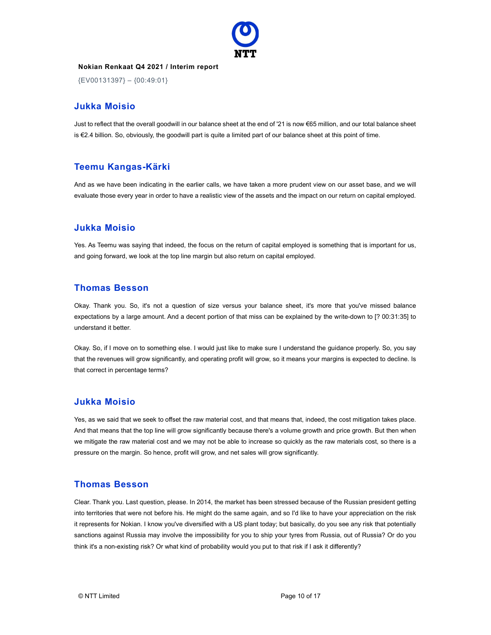

{EV00131397} – {00:49:01}

#### Jukka Moisio

Just to reflect that the overall goodwill in our balance sheet at the end of '21 is now €65 million, and our total balance sheet is €2.4 billion. So, obviously, the goodwill part is quite a limited part of our balance sheet at this point of time.

#### Teemu Kangas-Kärki

And as we have been indicating in the earlier calls, we have taken a more prudent view on our asset base, and we will evaluate those every year in order to have a realistic view of the assets and the impact on our return on capital employed.

#### Jukka Moisio

Yes. As Teemu was saying that indeed, the focus on the return of capital employed is something that is important for us, and going forward, we look at the top line margin but also return on capital employed.

#### Thomas Besson

Okay. Thank you. So, it's not a question of size versus your balance sheet, it's more that you've missed balance expectations by a large amount. And a decent portion of that miss can be explained by the write-down to [? 00:31:35] to understand it better.

Okay. So, if I move on to something else. I would just like to make sure I understand the guidance properly. So, you say that the revenues will grow significantly, and operating profit will grow, so it means your margins is expected to decline. Is that correct in percentage terms?

#### Jukka Moisio

Yes, as we said that we seek to offset the raw material cost, and that means that, indeed, the cost mitigation takes place. And that means that the top line will grow significantly because there's a volume growth and price growth. But then when we mitigate the raw material cost and we may not be able to increase so quickly as the raw materials cost, so there is a pressure on the margin. So hence, profit will grow, and net sales will grow significantly.

#### Thomas Besson

Clear. Thank you. Last question, please. In 2014, the market has been stressed because of the Russian president getting into territories that were not before his. He might do the same again, and so I'd like to have your appreciation on the risk it represents for Nokian. I know you've diversified with a US plant today; but basically, do you see any risk that potentially sanctions against Russia may involve the impossibility for you to ship your tyres from Russia, out of Russia? Or do you think it's a non-existing risk? Or what kind of probability would you put to that risk if I ask it differently?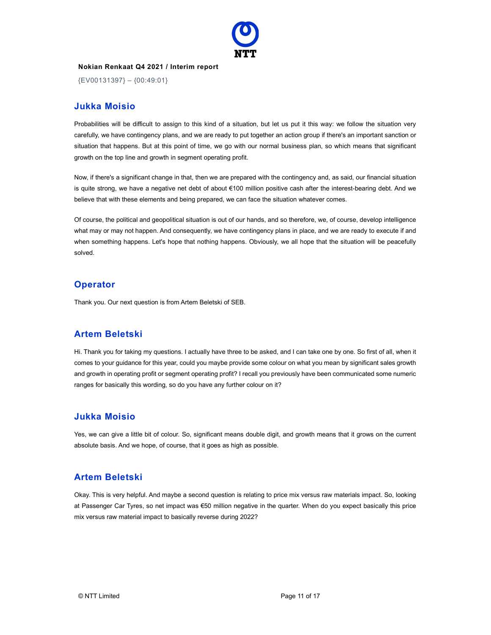

{EV00131397} – {00:49:01}

#### Jukka Moisio

Probabilities will be difficult to assign to this kind of a situation, but let us put it this way: we follow the situation very carefully, we have contingency plans, and we are ready to put together an action group if there's an important sanction or situation that happens. But at this point of time, we go with our normal business plan, so which means that significant growth on the top line and growth in segment operating profit.

Now, if there's a significant change in that, then we are prepared with the contingency and, as said, our financial situation is quite strong, we have a negative net debt of about €100 million positive cash after the interest-bearing debt. And we believe that with these elements and being prepared, we can face the situation whatever comes.

Of course, the political and geopolitical situation is out of our hands, and so therefore, we, of course, develop intelligence what may or may not happen. And consequently, we have contingency plans in place, and we are ready to execute if and when something happens. Let's hope that nothing happens. Obviously, we all hope that the situation will be peacefully solved.

#### **Operator**

Thank you. Our next question is from Artem Beletski of SEB.

#### Artem Beletski

Hi. Thank you for taking my questions. I actually have three to be asked, and I can take one by one. So first of all, when it comes to your guidance for this year, could you maybe provide some colour on what you mean by significant sales growth and growth in operating profit or segment operating profit? I recall you previously have been communicated some numeric ranges for basically this wording, so do you have any further colour on it?

#### Jukka Moisio

Yes, we can give a little bit of colour. So, significant means double digit, and growth means that it grows on the current absolute basis. And we hope, of course, that it goes as high as possible.

#### Artem Beletski

Okay. This is very helpful. And maybe a second question is relating to price mix versus raw materials impact. So, looking at Passenger Car Tyres, so net impact was €50 million negative in the quarter. When do you expect basically this price mix versus raw material impact to basically reverse during 2022?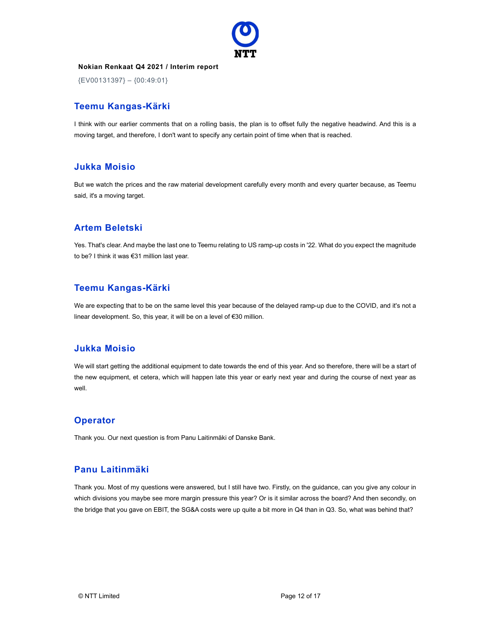

{EV00131397} – {00:49:01}

# Teemu Kangas-Kärki

I think with our earlier comments that on a rolling basis, the plan is to offset fully the negative headwind. And this is a moving target, and therefore, I don't want to specify any certain point of time when that is reached.

# Jukka Moisio

But we watch the prices and the raw material development carefully every month and every quarter because, as Teemu said, it's a moving target.

# Artem Beletski

Yes. That's clear. And maybe the last one to Teemu relating to US ramp-up costs in '22. What do you expect the magnitude to be? I think it was €31 million last year.

# Teemu Kangas-Kärki

We are expecting that to be on the same level this year because of the delayed ramp-up due to the COVID, and it's not a linear development. So, this year, it will be on a level of €30 million.

#### Jukka Moisio

We will start getting the additional equipment to date towards the end of this year. And so therefore, there will be a start of the new equipment, et cetera, which will happen late this year or early next year and during the course of next year as well.

#### **Operator**

Thank you. Our next question is from Panu Laitinmäki of Danske Bank.

#### Panu Laitinmäki

Thank you. Most of my questions were answered, but I still have two. Firstly, on the guidance, can you give any colour in which divisions you maybe see more margin pressure this year? Or is it similar across the board? And then secondly, on the bridge that you gave on EBIT, the SG&A costs were up quite a bit more in Q4 than in Q3. So, what was behind that?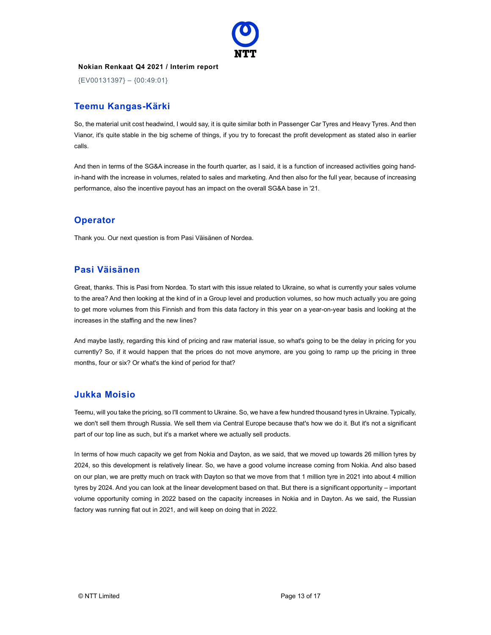

{EV00131397} – {00:49:01}

# Teemu Kangas-Kärki

So, the material unit cost headwind, I would say, it is quite similar both in Passenger Car Tyres and Heavy Tyres. And then Vianor, it's quite stable in the big scheme of things, if you try to forecast the profit development as stated also in earlier calls.

And then in terms of the SG&A increase in the fourth quarter, as I said, it is a function of increased activities going handin-hand with the increase in volumes, related to sales and marketing. And then also for the full year, because of increasing performance, also the incentive payout has an impact on the overall SG&A base in '21.

#### **Operator**

Thank you. Our next question is from Pasi Väisänen of Nordea.

#### Pasi Väisänen

Great, thanks. This is Pasi from Nordea. To start with this issue related to Ukraine, so what is currently your sales volume to the area? And then looking at the kind of in a Group level and production volumes, so how much actually you are going to get more volumes from this Finnish and from this data factory in this year on a year-on-year basis and looking at the increases in the staffing and the new lines?

And maybe lastly, regarding this kind of pricing and raw material issue, so what's going to be the delay in pricing for you currently? So, if it would happen that the prices do not move anymore, are you going to ramp up the pricing in three months, four or six? Or what's the kind of period for that?

#### Jukka Moisio

Teemu, will you take the pricing, so I'll comment to Ukraine. So, we have a few hundred thousand tyres in Ukraine. Typically, we don't sell them through Russia. We sell them via Central Europe because that's how we do it. But it's not a significant part of our top line as such, but it's a market where we actually sell products.

In terms of how much capacity we get from Nokia and Dayton, as we said, that we moved up towards 26 million tyres by 2024, so this development is relatively linear. So, we have a good volume increase coming from Nokia. And also based on our plan, we are pretty much on track with Dayton so that we move from that 1 million tyre in 2021 into about 4 million tyres by 2024. And you can look at the linear development based on that. But there is a significant opportunity – important volume opportunity coming in 2022 based on the capacity increases in Nokia and in Dayton. As we said, the Russian factory was running flat out in 2021, and will keep on doing that in 2022.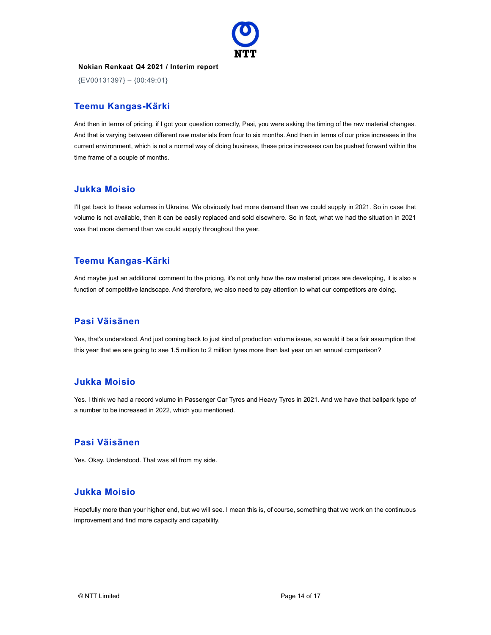

{EV00131397} – {00:49:01}

# Teemu Kangas-Kärki

And then in terms of pricing, if I got your question correctly, Pasi, you were asking the timing of the raw material changes. And that is varying between different raw materials from four to six months. And then in terms of our price increases in the current environment, which is not a normal way of doing business, these price increases can be pushed forward within the time frame of a couple of months.

#### Jukka Moisio

I'll get back to these volumes in Ukraine. We obviously had more demand than we could supply in 2021. So in case that volume is not available, then it can be easily replaced and sold elsewhere. So in fact, what we had the situation in 2021 was that more demand than we could supply throughout the year.

# Teemu Kangas-Kärki

And maybe just an additional comment to the pricing, it's not only how the raw material prices are developing, it is also a function of competitive landscape. And therefore, we also need to pay attention to what our competitors are doing.

#### Pasi Väisänen

Yes, that's understood. And just coming back to just kind of production volume issue, so would it be a fair assumption that this year that we are going to see 1.5 million to 2 million tyres more than last year on an annual comparison?

#### Jukka Moisio

Yes. I think we had a record volume in Passenger Car Tyres and Heavy Tyres in 2021. And we have that ballpark type of a number to be increased in 2022, which you mentioned.

#### Pasi Väisänen

Yes. Okay. Understood. That was all from my side.

#### Jukka Moisio

Hopefully more than your higher end, but we will see. I mean this is, of course, something that we work on the continuous improvement and find more capacity and capability.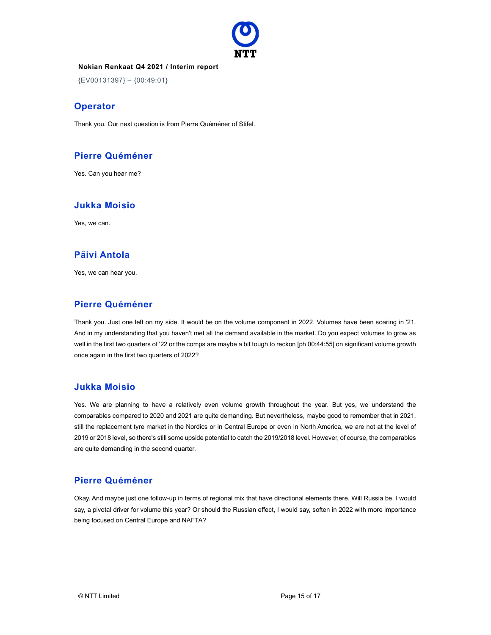

{EV00131397} – {00:49:01}

#### **Operator**

Thank you. Our next question is from Pierre Quéméner of Stifel.

#### Pierre Quéméner

Yes. Can you hear me?

# Jukka Moisio

Yes, we can.

#### Päivi Antola

Yes, we can hear you.

# Pierre Quéméner

Thank you. Just one left on my side. It would be on the volume component in 2022. Volumes have been soaring in '21. And in my understanding that you haven't met all the demand available in the market. Do you expect volumes to grow as well in the first two quarters of '22 or the comps are maybe a bit tough to reckon [ph 00:44:55] on significant volume growth once again in the first two quarters of 2022?

#### Jukka Moisio

Yes. We are planning to have a relatively even volume growth throughout the year. But yes, we understand the comparables compared to 2020 and 2021 are quite demanding. But nevertheless, maybe good to remember that in 2021, still the replacement tyre market in the Nordics or in Central Europe or even in North America, we are not at the level of 2019 or 2018 level, so there's still some upside potential to catch the 2019/2018 level. However, of course, the comparables are quite demanding in the second quarter.

#### Pierre Quéméner

Okay. And maybe just one follow-up in terms of regional mix that have directional elements there. Will Russia be, I would say, a pivotal driver for volume this year? Or should the Russian effect, I would say, soften in 2022 with more importance being focused on Central Europe and NAFTA?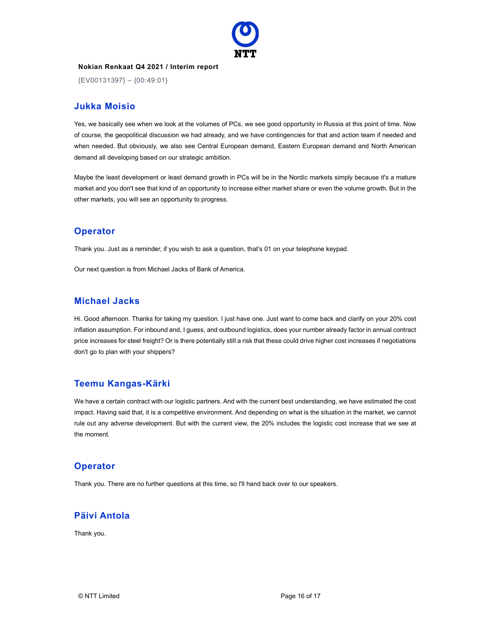

{EV00131397} – {00:49:01}

#### Jukka Moisio

Yes, we basically see when we look at the volumes of PCs, we see good opportunity in Russia at this point of time. Now of course, the geopolitical discussion we had already, and we have contingencies for that and action team if needed and when needed. But obviously, we also see Central European demand, Eastern European demand and North American demand all developing based on our strategic ambition.

Maybe the least development or least demand growth in PCs will be in the Nordic markets simply because it's a mature market and you don't see that kind of an opportunity to increase either market share or even the volume growth. But in the other markets, you will see an opportunity to progress.

#### **Operator**

Thank you. Just as a reminder, if you wish to ask a question, that's 01 on your telephone keypad.

Our next question is from Michael Jacks of Bank of America.

#### Michael Jacks

Hi. Good afternoon. Thanks for taking my question. I just have one. Just want to come back and clarify on your 20% cost inflation assumption. For inbound and, I guess, and outbound logistics, does your number already factor in annual contract price increases for steel freight? Or is there potentially still a risk that these could drive higher cost increases if negotiations don't go to plan with your shippers?

# Teemu Kangas-Kärki

We have a certain contract with our logistic partners. And with the current best understanding, we have estimated the cost impact. Having said that, it is a competitive environment. And depending on what is the situation in the market, we cannot rule out any adverse development. But with the current view, the 20% includes the logistic cost increase that we see at the moment.

#### **Operator**

Thank you. There are no further questions at this time, so I'll hand back over to our speakers.

# Päivi Antola

Thank you.